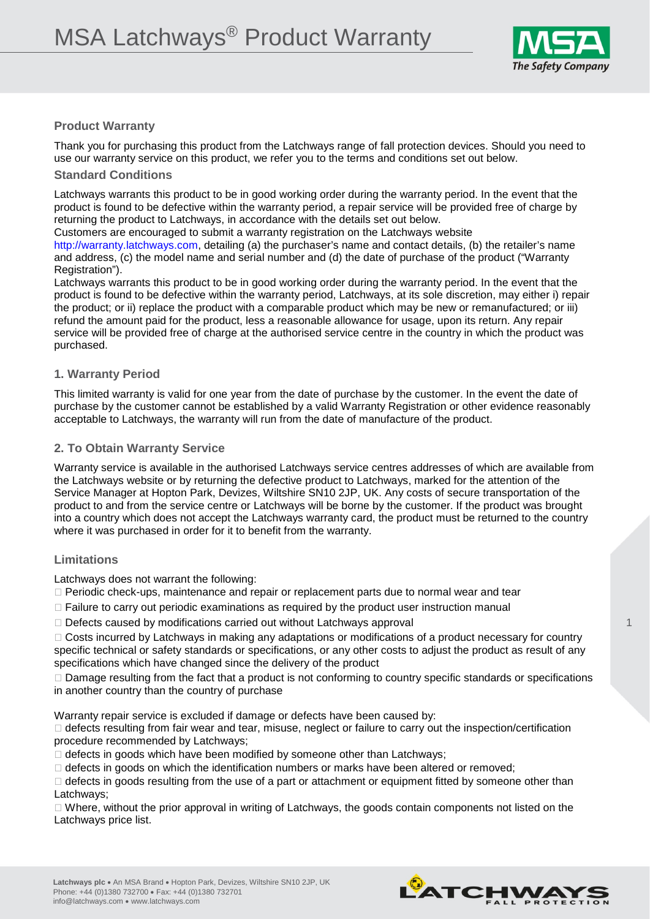

## **Product Warranty**

Thank you for purchasing this product from the Latchways range of fall protection devices. Should you need to use our warranty service on this product, we refer you to the terms and conditions set out below.

### **Standard Conditions**

Latchways warrants this product to be in good working order during the warranty period. In the event that the product is found to be defective within the warranty period, a repair service will be provided free of charge by returning the product to Latchways, in accordance with the details set out below.

Customers are encouraged to submit a warranty registration on the Latchways website

http://warranty.latchways.com, detailing (a) the purchaser's name and contact details, (b) the retailer's name and address, (c) the model name and serial number and (d) the date of purchase of the product ("Warranty Registration").

Latchways warrants this product to be in good working order during the warranty period. In the event that the product is found to be defective within the warranty period, Latchways, at its sole discretion, may either i) repair the product; or ii) replace the product with a comparable product which may be new or remanufactured; or iii) refund the amount paid for the product, less a reasonable allowance for usage, upon its return. Any repair service will be provided free of charge at the authorised service centre in the country in which the product was purchased.

### **1. Warranty Period**

This limited warranty is valid for one year from the date of purchase by the customer. In the event the date of purchase by the customer cannot be established by a valid Warranty Registration or other evidence reasonably acceptable to Latchways, the warranty will run from the date of manufacture of the product.

### **2. To Obtain Warranty Service**

Warranty service is available in the authorised Latchways service centres addresses of which are available from the Latchways website or by returning the defective product to Latchways, marked for the attention of the Service Manager at Hopton Park, Devizes, Wiltshire SN10 2JP, UK. Any costs of secure transportation of the product to and from the service centre or Latchways will be borne by the customer. If the product was brought into a country which does not accept the Latchways warranty card, the product must be returned to the country where it was purchased in order for it to benefit from the warranty.

# **Limitations**

Latchways does not warrant the following:

- $\Box$  Periodic check-ups, maintenance and repair or replacement parts due to normal wear and tear
- $\Box$  Failure to carry out periodic examinations as required by the product user instruction manual
- $\Box$  Defects caused by modifications carried out without Latchways approval

□ Costs incurred by Latchways in making any adaptations or modifications of a product necessary for country specific technical or safety standards or specifications, or any other costs to adjust the product as result of any specifications which have changed since the delivery of the product

 $\Box$  Damage resulting from the fact that a product is not conforming to country specific standards or specifications in another country than the country of purchase

Warranty repair service is excluded if damage or defects have been caused by:

 $\Box$  defects resulting from fair wear and tear, misuse, neglect or failure to carry out the inspection/certification procedure recommended by Latchways;

 $\Box$  defects in goods which have been modified by someone other than Latchways;

 $\Box$  defects in goods on which the identification numbers or marks have been altered or removed;

 $\Box$  defects in goods resulting from the use of a part or attachment or equipment fitted by someone other than Latchways;

 $\Box$  Where, without the prior approval in writing of Latchways, the goods contain components not listed on the Latchways price list.